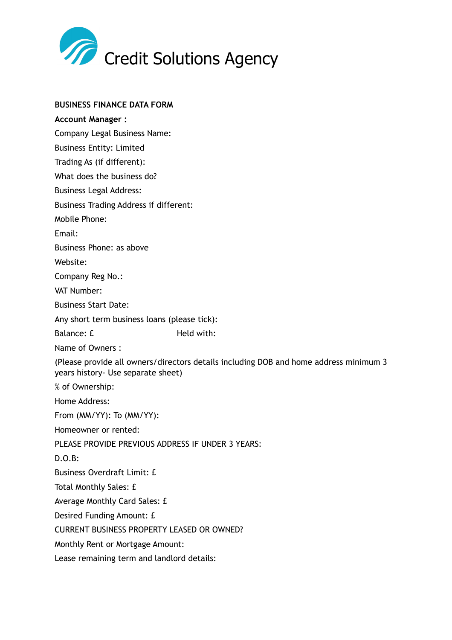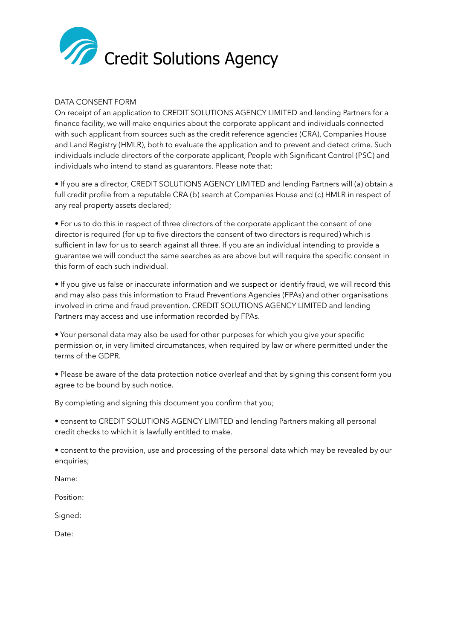

# DATA CONSENT FORM

On receipt of an application to CREDIT SOLUTIONS AGENCY LIMITED and lending Partners for a finance facility, we will make enquiries about the corporate applicant and individuals connected with such applicant from sources such as the credit reference agencies (CRA), Companies House and Land Registry (HMLR), both to evaluate the application and to prevent and detect crime. Such individuals include directors of the corporate applicant, People with Significant Control (PSC) and individuals who intend to stand as guarantors. Please note that:

• If you are a director, CREDIT SOLUTIONS AGENCY LIMITED and lending Partners will (a) obtain a full credit profile from a reputable CRA (b) search at Companies House and (c) HMLR in respect of any real property assets declared;

• For us to do this in respect of three directors of the corporate applicant the consent of one director is required (for up to five directors the consent of two directors is required) which is sufficient in law for us to search against all three. If you are an individual intending to provide a guarantee we will conduct the same searches as are above but will require the specific consent in this form of each such individual.

• If you give us false or inaccurate information and we suspect or identify fraud, we will record this and may also pass this information to Fraud Preventions Agencies (FPAs) and other organisations involved in crime and fraud prevention. CREDIT SOLUTIONS AGENCY LIMITED and lending Partners may access and use information recorded by FPAs.

• Your personal data may also be used for other purposes for which you give your specific permission or, in very limited circumstances, when required by law or where permitted under the terms of the GDPR.

• Please be aware of the data protection notice overleaf and that by signing this consent form you agree to be bound by such notice.

By completing and signing this document you confirm that you;

• consent to CREDIT SOLUTIONS AGENCY LIMITED and lending Partners making all personal credit checks to which it is lawfully entitled to make.

• consent to the provision, use and processing of the personal data which may be revealed by our enquiries;

Name:

Position:

Signed:

Date: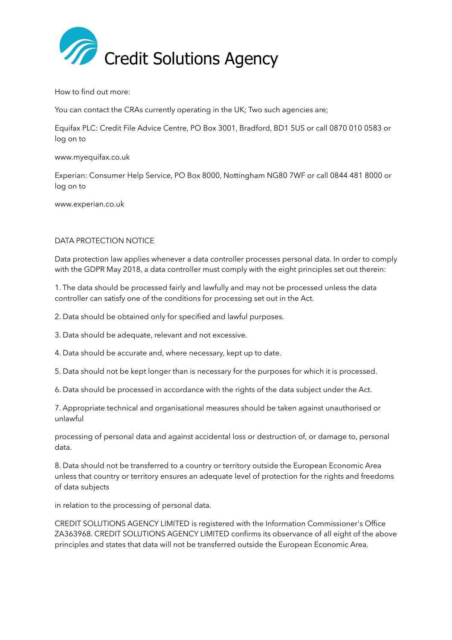

How to find out more:

You can contact the CRAs currently operating in the UK; Two such agencies are;

Equifax PLC: Credit File Advice Centre, PO Box 3001, Bradford, BD1 5US or call 0870 010 0583 or log on to

www.myequifax.co.uk

Experian: Consumer Help Service, PO Box 8000, Nottingham NG80 7WF or call 0844 481 8000 or log on to

www.experian.co.uk

## DATA PROTECTION NOTICE

Data protection law applies whenever a data controller processes personal data. In order to comply with the GDPR May 2018, a data controller must comply with the eight principles set out therein:

1. The data should be processed fairly and lawfully and may not be processed unless the data controller can satisfy one of the conditions for processing set out in the Act.

2. Data should be obtained only for specified and lawful purposes.

3. Data should be adequate, relevant and not excessive.

4. Data should be accurate and, where necessary, kept up to date.

5. Data should not be kept longer than is necessary for the purposes for which it is processed.

6. Data should be processed in accordance with the rights of the data subject under the Act.

7. Appropriate technical and organisational measures should be taken against unauthorised or unlawful

processing of personal data and against accidental loss or destruction of, or damage to, personal data.

8. Data should not be transferred to a country or territory outside the European Economic Area unless that country or territory ensures an adequate level of protection for the rights and freedoms of data subjects

in relation to the processing of personal data.

CREDIT SOLUTIONS AGENCY LIMITED is registered with the Information Commissioner's Office ZA363968. CREDIT SOLUTIONS AGENCY LIMITED confirms its observance of all eight of the above principles and states that data will not be transferred outside the European Economic Area.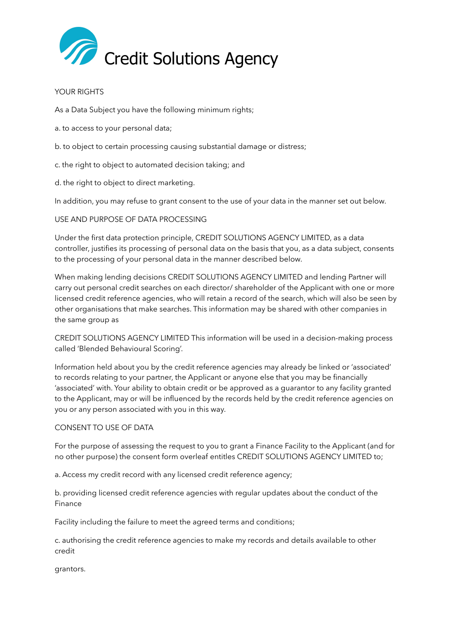

## YOUR RIGHTS

As a Data Subject you have the following minimum rights;

- a. to access to your personal data;
- b. to object to certain processing causing substantial damage or distress;
- c. the right to object to automated decision taking; and
- d. the right to object to direct marketing.

In addition, you may refuse to grant consent to the use of your data in the manner set out below.

## USE AND PURPOSE OF DATA PROCESSING

Under the first data protection principle, CREDIT SOLUTIONS AGENCY LIMITED, as a data controller, justifies its processing of personal data on the basis that you, as a data subject, consents to the processing of your personal data in the manner described below.

When making lending decisions CREDIT SOLUTIONS AGENCY LIMITED and lending Partner will carry out personal credit searches on each director/ shareholder of the Applicant with one or more licensed credit reference agencies, who will retain a record of the search, which will also be seen by other organisations that make searches. This information may be shared with other companies in the same group as

CREDIT SOLUTIONS AGENCY LIMITED This information will be used in a decision-making process called 'Blended Behavioural Scoring'.

Information held about you by the credit reference agencies may already be linked or 'associated' to records relating to your partner, the Applicant or anyone else that you may be financially 'associated' with. Your ability to obtain credit or be approved as a guarantor to any facility granted to the Applicant, may or will be influenced by the records held by the credit reference agencies on you or any person associated with you in this way.

### CONSENT TO USE OF DATA

For the purpose of assessing the request to you to grant a Finance Facility to the Applicant (and for no other purpose) the consent form overleaf entitles CREDIT SOLUTIONS AGENCY LIMITED to;

a. Access my credit record with any licensed credit reference agency;

b. providing licensed credit reference agencies with regular updates about the conduct of the Finance

Facility including the failure to meet the agreed terms and conditions;

c. authorising the credit reference agencies to make my records and details available to other credit

grantors.